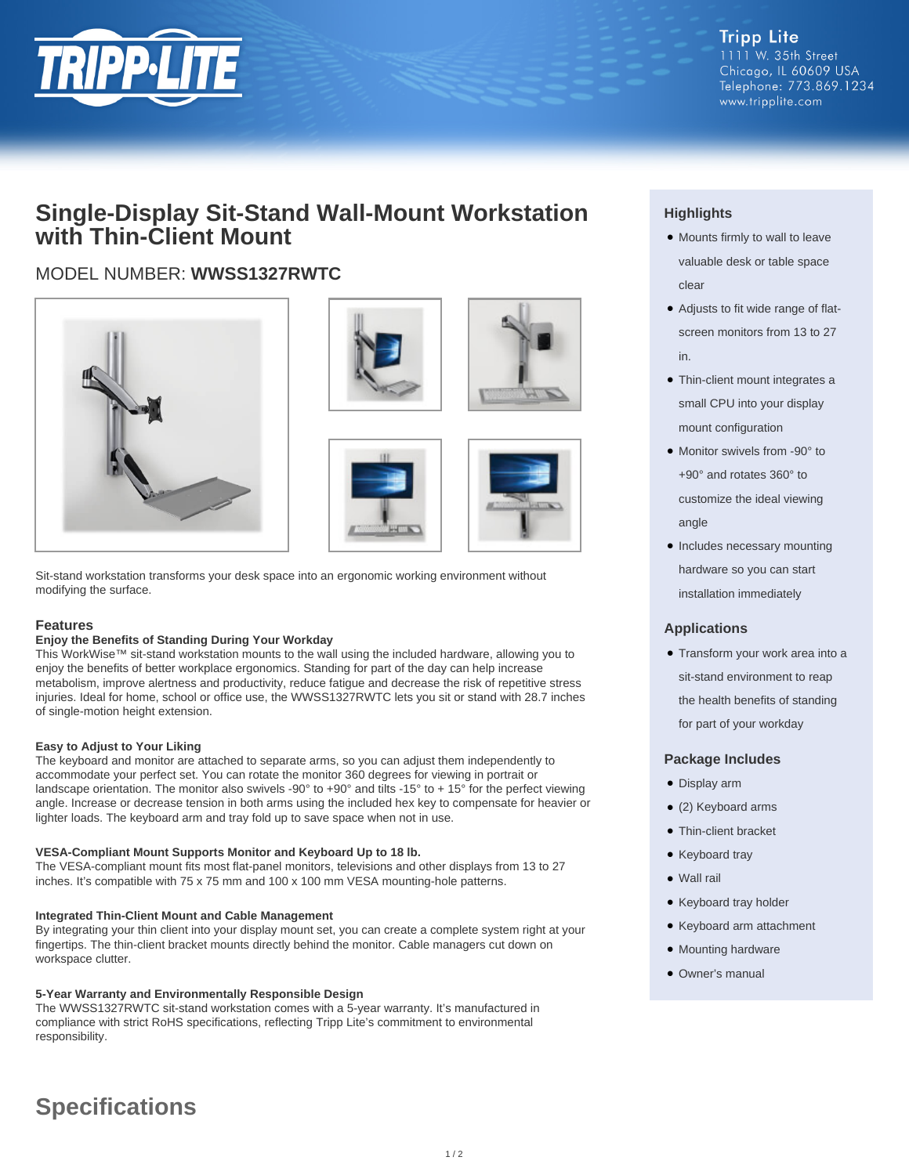

**Tripp Lite** 1111 W. 35th Street Chicago, IL 60609 USA Telephone: 773.869.1234 www.tripplite.com

## **Single-Display Sit-Stand Wall-Mount Workstation with Thin-Client Mount**

## MODEL NUMBER: **WWSS1327RWTC**









Sit-stand workstation transforms your desk space into an ergonomic working environment without modifying the surface.

#### **Features**

#### **Enjoy the Benefits of Standing During Your Workday**

This WorkWise™ sit-stand workstation mounts to the wall using the included hardware, allowing you to enjoy the benefits of better workplace ergonomics. Standing for part of the day can help increase metabolism, improve alertness and productivity, reduce fatigue and decrease the risk of repetitive stress injuries. Ideal for home, school or office use, the WWSS1327RWTC lets you sit or stand with 28.7 inches of single-motion height extension.

#### **Easy to Adjust to Your Liking**

The keyboard and monitor are attached to separate arms, so you can adjust them independently to accommodate your perfect set. You can rotate the monitor 360 degrees for viewing in portrait or landscape orientation. The monitor also swivels -90° to +90° and tilts -15° to + 15° for the perfect viewing angle. Increase or decrease tension in both arms using the included hex key to compensate for heavier or lighter loads. The keyboard arm and tray fold up to save space when not in use.

#### **VESA-Compliant Mount Supports Monitor and Keyboard Up to 18 lb.**

The VESA-compliant mount fits most flat-panel monitors, televisions and other displays from 13 to 27 inches. It's compatible with 75 x 75 mm and 100 x 100 mm VESA mounting-hole patterns.

#### **Integrated Thin-Client Mount and Cable Management**

By integrating your thin client into your display mount set, you can create a complete system right at your fingertips. The thin-client bracket mounts directly behind the monitor. Cable managers cut down on workspace clutter.

#### **5-Year Warranty and Environmentally Responsible Design**

The WWSS1327RWTC sit-stand workstation comes with a 5-year warranty. It's manufactured in compliance with strict RoHS specifications, reflecting Tripp Lite's commitment to environmental responsibility.

### **Highlights**

- Mounts firmly to wall to leave valuable desk or table space clear
- Adjusts to fit wide range of flatscreen monitors from 13 to 27 in.
- Thin-client mount integrates a small CPU into your display mount configuration
- Monitor swivels from -90° to +90° and rotates 360° to customize the ideal viewing angle
- Includes necessary mounting hardware so you can start installation immediately

#### **Applications**

• Transform your work area into a sit-stand environment to reap the health benefits of standing for part of your workday

#### **Package Includes**

- Display arm
- (2) Keyboard arms
- Thin-client bracket
- Keyboard tray
- Wall rail
- Keyboard tray holder
- Keyboard arm attachment
- Mounting hardware
- Owner's manual

# **Specifications**